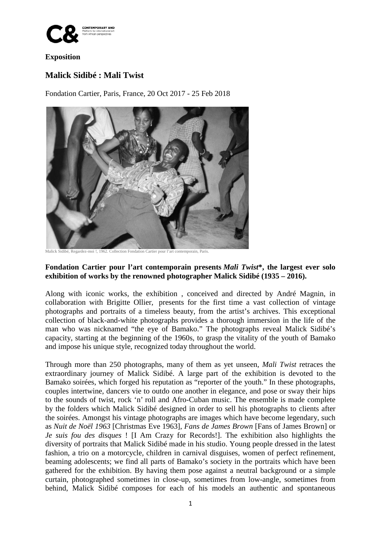

## **Exposition**

## **Malick Sidibé : Mali Twist**

Fondation Cartier, Paris, France, 20 Oct 2017 - 25 Feb 2018



Malick Sidibé, Regardez-moi !, 1962. Collection Fondation Cartier pour l'art contemporain, Paris.

## **Fondation Cartier pour l'art contemporain presents** *Mali Twist***\*, the largest ever solo exhibition of works by the renowned photographer Malick Sidibé (1935 – 2016).**

Along with iconic works, the exhibition , conceived and directed by André Magnin, in collaboration with Brigitte Ollier, presents for the first time a vast collection of vintage photographs and portraits of a timeless beauty, from the artist's archives. This exceptional collection of black-and-white photographs provides a thorough immersion in the life of the man who was nicknamed "the eye of Bamako." The photographs reveal Malick Sidibé's capacity, starting at the beginning of the 1960s, to grasp the vitality of the youth of Bamako and impose his unique style, recognized today throughout the world.

Through more than 250 photographs, many of them as yet unseen, *Mali Twist* retraces the extraordinary journey of Malick Sidibé. A large part of the exhibition is devoted to the Bamako soirées, which forged his reputation as "reporter of the youth." In these photographs, couples intertwine, dancers vie to outdo one another in elegance, and pose or sway their hips to the sounds of twist, rock 'n' roll and Afro-Cuban music. The ensemble is made complete by the folders which Malick Sidibé designed in order to sell his photographs to clients after the soirées. Amongst his vintage photographs are images which have become legendary, such as *Nuit de Noël 1963* [Christmas Eve 1963], *Fans de James Brown* [Fans of James Brown] or *Je suis fou des disques* ! [I Am Crazy for Records!]. The exhibition also highlights the diversity of portraits that Malick Sidibé made in his studio. Young people dressed in the latest fashion, a trio on a motorcycle, children in carnival disguises, women of perfect refinement, beaming adolescents; we find all parts of Bamako's society in the portraits which have been gathered for the exhibition. By having them pose against a neutral background or a simple curtain, photographed sometimes in close-up, sometimes from low-angle, sometimes from behind, Malick Sidibé composes for each of his models an authentic and spontaneous